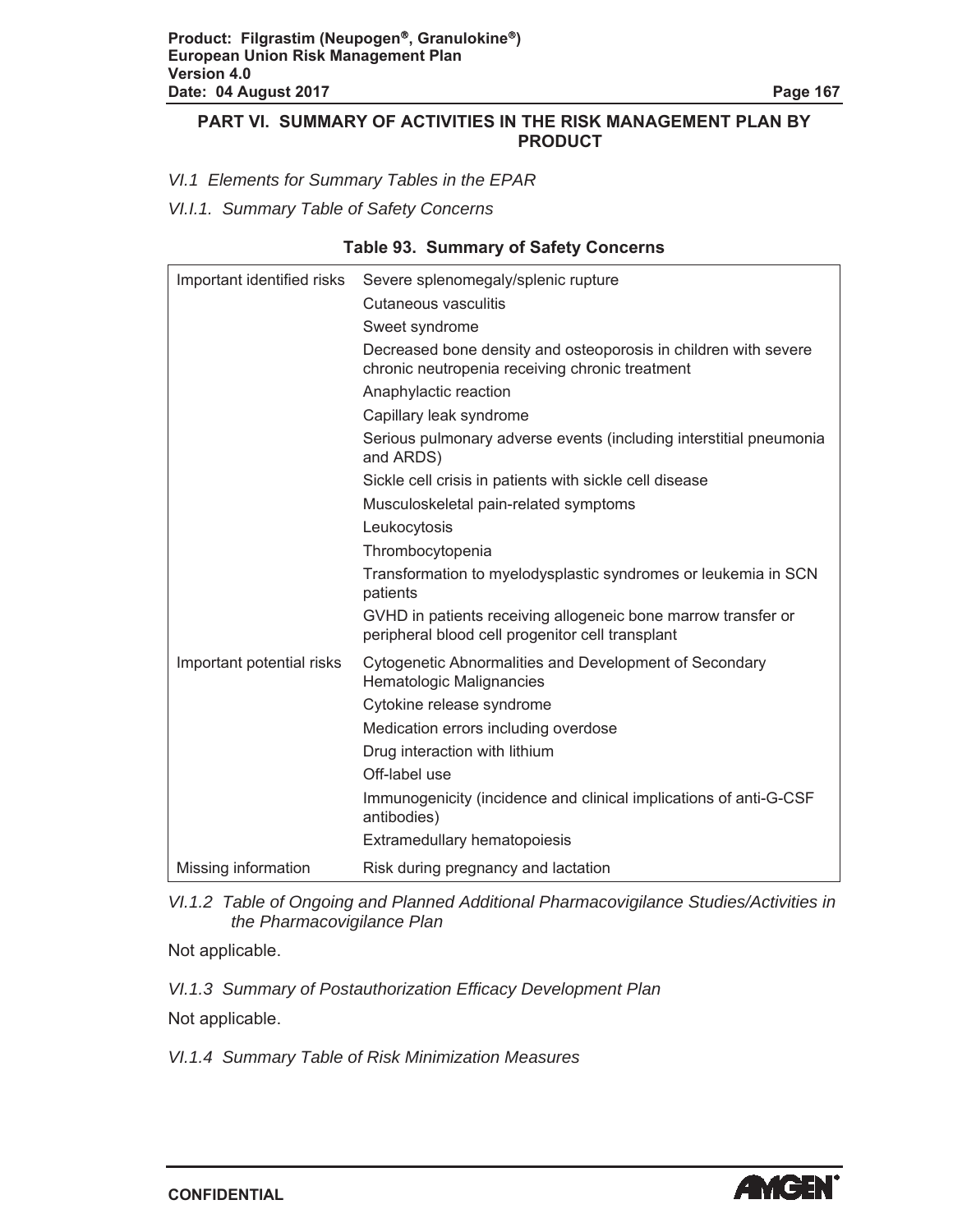#### **PART VI. SUMMARY OF ACTIVITIES IN THE RISK MANAGEMENT PLAN BY PRODUCT**

*VI.1 Elements for Summary Tables in the EPAR*

*VI.I.1. Summary Table of Safety Concerns*

|  |  |  | <b>Table 93. Summary of Safety Concerns</b> |
|--|--|--|---------------------------------------------|
|--|--|--|---------------------------------------------|

| Important identified risks | Severe splenomegaly/splenic rupture                                                                                |
|----------------------------|--------------------------------------------------------------------------------------------------------------------|
|                            | Cutaneous vasculitis                                                                                               |
|                            | Sweet syndrome                                                                                                     |
|                            | Decreased bone density and osteoporosis in children with severe<br>chronic neutropenia receiving chronic treatment |
|                            | Anaphylactic reaction                                                                                              |
|                            | Capillary leak syndrome                                                                                            |
|                            | Serious pulmonary adverse events (including interstitial pneumonia<br>and ARDS)                                    |
|                            | Sickle cell crisis in patients with sickle cell disease                                                            |
|                            | Musculoskeletal pain-related symptoms                                                                              |
|                            | Leukocytosis                                                                                                       |
|                            | Thrombocytopenia                                                                                                   |
|                            | Transformation to myelodysplastic syndromes or leukemia in SCN<br>patients                                         |
|                            | GVHD in patients receiving allogeneic bone marrow transfer or<br>peripheral blood cell progenitor cell transplant  |
| Important potential risks  | Cytogenetic Abnormalities and Development of Secondary<br>Hematologic Malignancies                                 |
|                            | Cytokine release syndrome                                                                                          |
|                            | Medication errors including overdose                                                                               |
|                            | Drug interaction with lithium                                                                                      |
|                            | Off-label use                                                                                                      |
|                            | Immunogenicity (incidence and clinical implications of anti-G-CSF<br>antibodies)                                   |
|                            | Extramedullary hematopoiesis                                                                                       |
| Missing information        | Risk during pregnancy and lactation                                                                                |

*VI.1.2 Table of Ongoing and Planned Additional Pharmacovigilance Studies/Activities in the Pharmacovigilance Plan*

Not applicable.

*VI.1.3 Summary of Postauthorization Efficacy Development Plan*

Not applicable.

*VI.1.4 Summary Table of Risk Minimization Measures*

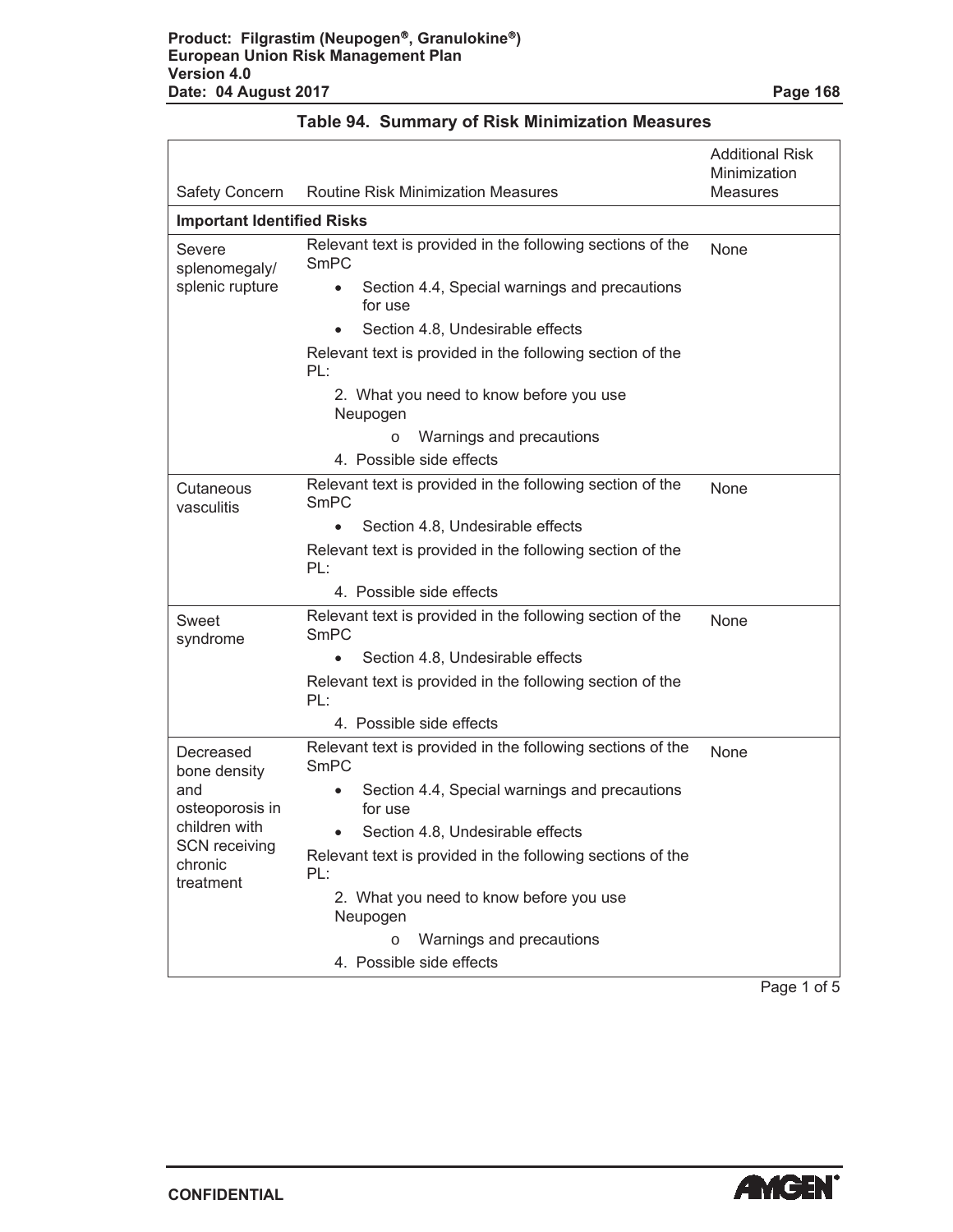|                                   |                                                                       | <b>Additional Risk</b><br>Minimization |
|-----------------------------------|-----------------------------------------------------------------------|----------------------------------------|
| <b>Safety Concern</b>             | <b>Routine Risk Minimization Measures</b>                             | <b>Measures</b>                        |
| <b>Important Identified Risks</b> |                                                                       |                                        |
| Severe<br>splenomegaly/           | Relevant text is provided in the following sections of the<br>SmPC    | None                                   |
| splenic rupture                   | Section 4.4, Special warnings and precautions<br>$\bullet$<br>for use |                                        |
|                                   | Section 4.8, Undesirable effects                                      |                                        |
|                                   | Relevant text is provided in the following section of the<br>PL:      |                                        |
|                                   | 2. What you need to know before you use<br>Neupogen                   |                                        |
|                                   | Warnings and precautions<br>$\circ$                                   |                                        |
|                                   | 4. Possible side effects                                              |                                        |
| Cutaneous<br>vasculitis           | Relevant text is provided in the following section of the<br>SmPC     | None                                   |
|                                   | Section 4.8, Undesirable effects                                      |                                        |
|                                   | Relevant text is provided in the following section of the<br>PL:      |                                        |
|                                   | 4. Possible side effects                                              |                                        |
| Sweet<br>syndrome                 | Relevant text is provided in the following section of the<br>SmPC     | None                                   |
|                                   | Section 4.8, Undesirable effects                                      |                                        |
|                                   | Relevant text is provided in the following section of the<br>PL:      |                                        |
|                                   | 4. Possible side effects                                              |                                        |
| Decreased<br>bone density         | Relevant text is provided in the following sections of the<br>SmPC    | None                                   |
| and<br>osteoporosis in            | Section 4.4, Special warnings and precautions<br>$\bullet$<br>for use |                                        |
| children with                     | Section 4.8, Undesirable effects                                      |                                        |
| <b>SCN</b> receiving<br>chronic   | Relevant text is provided in the following sections of the<br>PL:     |                                        |
| treatment                         | 2. What you need to know before you use<br>Neupogen                   |                                        |
|                                   | Warnings and precautions<br>$\circ$                                   |                                        |
|                                   | 4. Possible side effects                                              |                                        |

Page 1 of 5

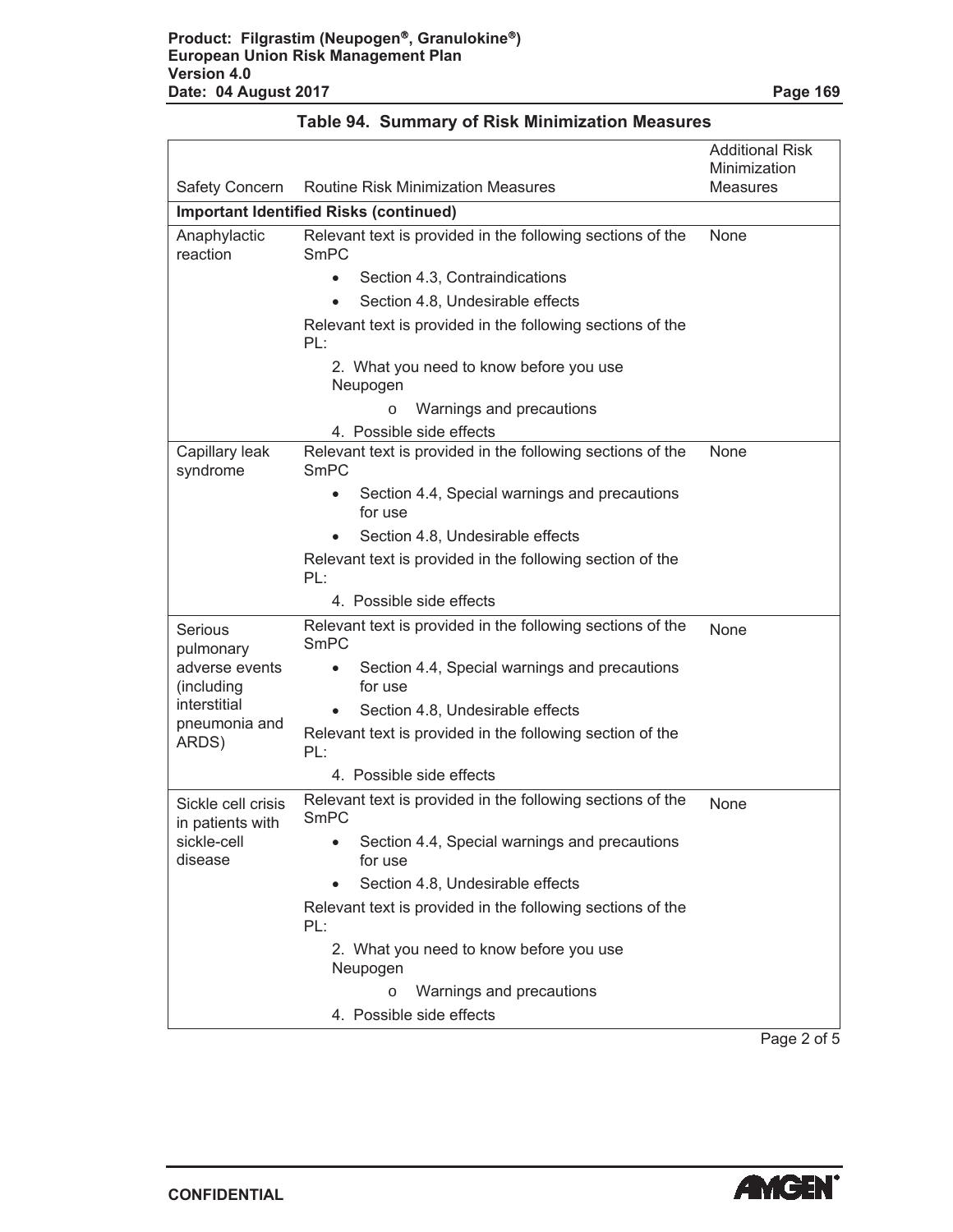| <b>Safety Concern</b><br><b>Routine Risk Minimization Measures</b><br><b>Measures</b><br><b>Important Identified Risks (continued)</b><br>Relevant text is provided in the following sections of the<br><b>None</b><br>Anaphylactic<br>reaction<br>SmPC<br>Section 4.3, Contraindications<br>$\bullet$<br>Section 4.8, Undesirable effects<br>Relevant text is provided in the following sections of the<br>PL:<br>2. What you need to know before you use<br>Neupogen<br>Warnings and precautions<br>$\circ$<br>4. Possible side effects<br>Relevant text is provided in the following sections of the<br>Capillary leak<br>None<br>syndrome<br>SmPC<br>Section 4.4, Special warnings and precautions<br>for use<br>Section 4.8, Undesirable effects<br>Relevant text is provided in the following section of the<br>PL:<br>4. Possible side effects<br>Relevant text is provided in the following sections of the<br>Serious<br>None<br><b>SmPC</b><br>pulmonary<br>adverse events<br>Section 4.4, Special warnings and precautions<br>٠<br>(including<br>for use<br>interstitial<br>Section 4.8, Undesirable effects<br>pneumonia and<br>Relevant text is provided in the following section of the<br>ARDS)<br>PL:<br>4. Possible side effects<br>Relevant text is provided in the following sections of the<br>Sickle cell crisis<br>None<br>SmPC<br>in patients with<br>sickle-cell<br>Section 4.4, Special warnings and precautions<br>for use<br>disease<br>Section 4.8, Undesirable effects<br>Relevant text is provided in the following sections of the<br>PL:<br>2. What you need to know before you use<br>Neupogen<br>Warnings and precautions<br>$\Omega$<br>4. Possible side effects |  | <b>Additional Risk</b><br>Minimization |
|-----------------------------------------------------------------------------------------------------------------------------------------------------------------------------------------------------------------------------------------------------------------------------------------------------------------------------------------------------------------------------------------------------------------------------------------------------------------------------------------------------------------------------------------------------------------------------------------------------------------------------------------------------------------------------------------------------------------------------------------------------------------------------------------------------------------------------------------------------------------------------------------------------------------------------------------------------------------------------------------------------------------------------------------------------------------------------------------------------------------------------------------------------------------------------------------------------------------------------------------------------------------------------------------------------------------------------------------------------------------------------------------------------------------------------------------------------------------------------------------------------------------------------------------------------------------------------------------------------------------------------------------------------------------------------------------------------|--|----------------------------------------|
|                                                                                                                                                                                                                                                                                                                                                                                                                                                                                                                                                                                                                                                                                                                                                                                                                                                                                                                                                                                                                                                                                                                                                                                                                                                                                                                                                                                                                                                                                                                                                                                                                                                                                                     |  |                                        |
|                                                                                                                                                                                                                                                                                                                                                                                                                                                                                                                                                                                                                                                                                                                                                                                                                                                                                                                                                                                                                                                                                                                                                                                                                                                                                                                                                                                                                                                                                                                                                                                                                                                                                                     |  |                                        |
|                                                                                                                                                                                                                                                                                                                                                                                                                                                                                                                                                                                                                                                                                                                                                                                                                                                                                                                                                                                                                                                                                                                                                                                                                                                                                                                                                                                                                                                                                                                                                                                                                                                                                                     |  |                                        |
|                                                                                                                                                                                                                                                                                                                                                                                                                                                                                                                                                                                                                                                                                                                                                                                                                                                                                                                                                                                                                                                                                                                                                                                                                                                                                                                                                                                                                                                                                                                                                                                                                                                                                                     |  |                                        |
|                                                                                                                                                                                                                                                                                                                                                                                                                                                                                                                                                                                                                                                                                                                                                                                                                                                                                                                                                                                                                                                                                                                                                                                                                                                                                                                                                                                                                                                                                                                                                                                                                                                                                                     |  |                                        |
|                                                                                                                                                                                                                                                                                                                                                                                                                                                                                                                                                                                                                                                                                                                                                                                                                                                                                                                                                                                                                                                                                                                                                                                                                                                                                                                                                                                                                                                                                                                                                                                                                                                                                                     |  |                                        |
|                                                                                                                                                                                                                                                                                                                                                                                                                                                                                                                                                                                                                                                                                                                                                                                                                                                                                                                                                                                                                                                                                                                                                                                                                                                                                                                                                                                                                                                                                                                                                                                                                                                                                                     |  |                                        |
|                                                                                                                                                                                                                                                                                                                                                                                                                                                                                                                                                                                                                                                                                                                                                                                                                                                                                                                                                                                                                                                                                                                                                                                                                                                                                                                                                                                                                                                                                                                                                                                                                                                                                                     |  |                                        |
|                                                                                                                                                                                                                                                                                                                                                                                                                                                                                                                                                                                                                                                                                                                                                                                                                                                                                                                                                                                                                                                                                                                                                                                                                                                                                                                                                                                                                                                                                                                                                                                                                                                                                                     |  |                                        |
|                                                                                                                                                                                                                                                                                                                                                                                                                                                                                                                                                                                                                                                                                                                                                                                                                                                                                                                                                                                                                                                                                                                                                                                                                                                                                                                                                                                                                                                                                                                                                                                                                                                                                                     |  |                                        |
|                                                                                                                                                                                                                                                                                                                                                                                                                                                                                                                                                                                                                                                                                                                                                                                                                                                                                                                                                                                                                                                                                                                                                                                                                                                                                                                                                                                                                                                                                                                                                                                                                                                                                                     |  |                                        |
|                                                                                                                                                                                                                                                                                                                                                                                                                                                                                                                                                                                                                                                                                                                                                                                                                                                                                                                                                                                                                                                                                                                                                                                                                                                                                                                                                                                                                                                                                                                                                                                                                                                                                                     |  |                                        |
|                                                                                                                                                                                                                                                                                                                                                                                                                                                                                                                                                                                                                                                                                                                                                                                                                                                                                                                                                                                                                                                                                                                                                                                                                                                                                                                                                                                                                                                                                                                                                                                                                                                                                                     |  |                                        |
|                                                                                                                                                                                                                                                                                                                                                                                                                                                                                                                                                                                                                                                                                                                                                                                                                                                                                                                                                                                                                                                                                                                                                                                                                                                                                                                                                                                                                                                                                                                                                                                                                                                                                                     |  |                                        |
|                                                                                                                                                                                                                                                                                                                                                                                                                                                                                                                                                                                                                                                                                                                                                                                                                                                                                                                                                                                                                                                                                                                                                                                                                                                                                                                                                                                                                                                                                                                                                                                                                                                                                                     |  |                                        |
|                                                                                                                                                                                                                                                                                                                                                                                                                                                                                                                                                                                                                                                                                                                                                                                                                                                                                                                                                                                                                                                                                                                                                                                                                                                                                                                                                                                                                                                                                                                                                                                                                                                                                                     |  |                                        |
|                                                                                                                                                                                                                                                                                                                                                                                                                                                                                                                                                                                                                                                                                                                                                                                                                                                                                                                                                                                                                                                                                                                                                                                                                                                                                                                                                                                                                                                                                                                                                                                                                                                                                                     |  |                                        |
|                                                                                                                                                                                                                                                                                                                                                                                                                                                                                                                                                                                                                                                                                                                                                                                                                                                                                                                                                                                                                                                                                                                                                                                                                                                                                                                                                                                                                                                                                                                                                                                                                                                                                                     |  |                                        |
|                                                                                                                                                                                                                                                                                                                                                                                                                                                                                                                                                                                                                                                                                                                                                                                                                                                                                                                                                                                                                                                                                                                                                                                                                                                                                                                                                                                                                                                                                                                                                                                                                                                                                                     |  |                                        |
|                                                                                                                                                                                                                                                                                                                                                                                                                                                                                                                                                                                                                                                                                                                                                                                                                                                                                                                                                                                                                                                                                                                                                                                                                                                                                                                                                                                                                                                                                                                                                                                                                                                                                                     |  |                                        |
|                                                                                                                                                                                                                                                                                                                                                                                                                                                                                                                                                                                                                                                                                                                                                                                                                                                                                                                                                                                                                                                                                                                                                                                                                                                                                                                                                                                                                                                                                                                                                                                                                                                                                                     |  |                                        |
|                                                                                                                                                                                                                                                                                                                                                                                                                                                                                                                                                                                                                                                                                                                                                                                                                                                                                                                                                                                                                                                                                                                                                                                                                                                                                                                                                                                                                                                                                                                                                                                                                                                                                                     |  |                                        |
|                                                                                                                                                                                                                                                                                                                                                                                                                                                                                                                                                                                                                                                                                                                                                                                                                                                                                                                                                                                                                                                                                                                                                                                                                                                                                                                                                                                                                                                                                                                                                                                                                                                                                                     |  |                                        |
|                                                                                                                                                                                                                                                                                                                                                                                                                                                                                                                                                                                                                                                                                                                                                                                                                                                                                                                                                                                                                                                                                                                                                                                                                                                                                                                                                                                                                                                                                                                                                                                                                                                                                                     |  |                                        |
|                                                                                                                                                                                                                                                                                                                                                                                                                                                                                                                                                                                                                                                                                                                                                                                                                                                                                                                                                                                                                                                                                                                                                                                                                                                                                                                                                                                                                                                                                                                                                                                                                                                                                                     |  |                                        |
|                                                                                                                                                                                                                                                                                                                                                                                                                                                                                                                                                                                                                                                                                                                                                                                                                                                                                                                                                                                                                                                                                                                                                                                                                                                                                                                                                                                                                                                                                                                                                                                                                                                                                                     |  |                                        |

Page 2 of 5

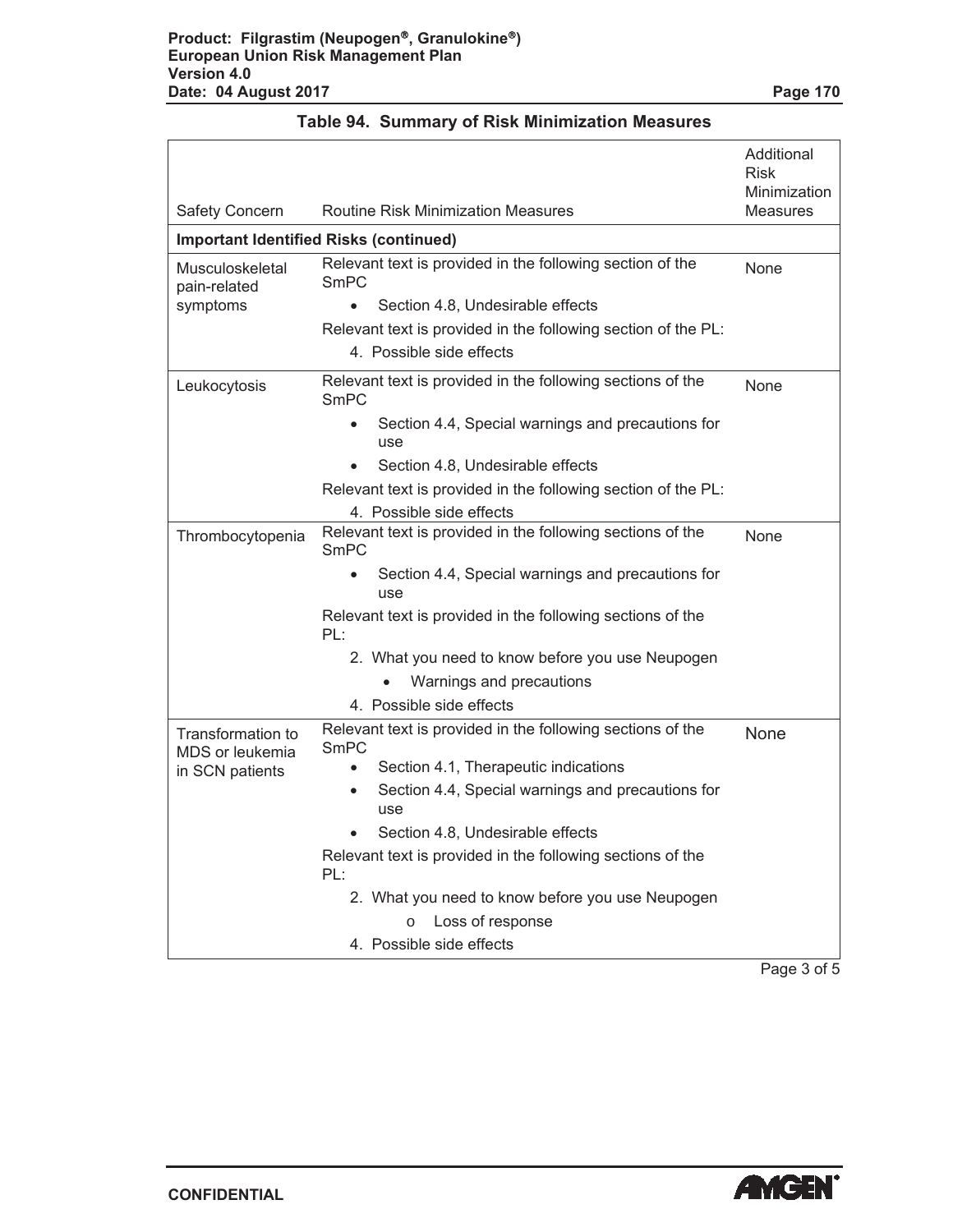|  | <b>Table 94. Summary of Risk Minimization Measures</b> |  |
|--|--------------------------------------------------------|--|
|--|--------------------------------------------------------|--|

| <b>Safety Concern</b>                | <b>Routine Risk Minimization Measures</b>                                 | Additional<br><b>Risk</b><br>Minimization<br>Measures |
|--------------------------------------|---------------------------------------------------------------------------|-------------------------------------------------------|
|                                      | <b>Important Identified Risks (continued)</b>                             |                                                       |
| Musculoskeletal<br>pain-related      | Relevant text is provided in the following section of the<br><b>SmPC</b>  | None                                                  |
| symptoms                             | Section 4.8, Undesirable effects                                          |                                                       |
|                                      | Relevant text is provided in the following section of the PL:             |                                                       |
|                                      | 4. Possible side effects                                                  |                                                       |
| Leukocytosis                         | Relevant text is provided in the following sections of the<br>SmPC        | None                                                  |
|                                      | Section 4.4, Special warnings and precautions for<br>use                  |                                                       |
|                                      | Section 4.8, Undesirable effects                                          |                                                       |
|                                      | Relevant text is provided in the following section of the PL:             |                                                       |
|                                      | 4. Possible side effects                                                  |                                                       |
| Thrombocytopenia                     | Relevant text is provided in the following sections of the<br><b>SmPC</b> | None                                                  |
|                                      | Section 4.4, Special warnings and precautions for<br>use                  |                                                       |
|                                      | Relevant text is provided in the following sections of the<br>PL:         |                                                       |
|                                      | 2. What you need to know before you use Neupogen                          |                                                       |
|                                      | Warnings and precautions                                                  |                                                       |
|                                      | 4. Possible side effects                                                  |                                                       |
| Transformation to<br>MDS or leukemia | Relevant text is provided in the following sections of the<br><b>SmPC</b> | None                                                  |
| in SCN patients                      | Section 4.1, Therapeutic indications                                      |                                                       |
|                                      | Section 4.4, Special warnings and precautions for<br>$\bullet$<br>use     |                                                       |
|                                      | Section 4.8, Undesirable effects                                          |                                                       |
|                                      | Relevant text is provided in the following sections of the<br>PL:         |                                                       |
|                                      | 2. What you need to know before you use Neupogen                          |                                                       |
|                                      | Loss of response<br>$\circ$                                               |                                                       |
|                                      | 4. Possible side effects                                                  |                                                       |

Page 3 of 5

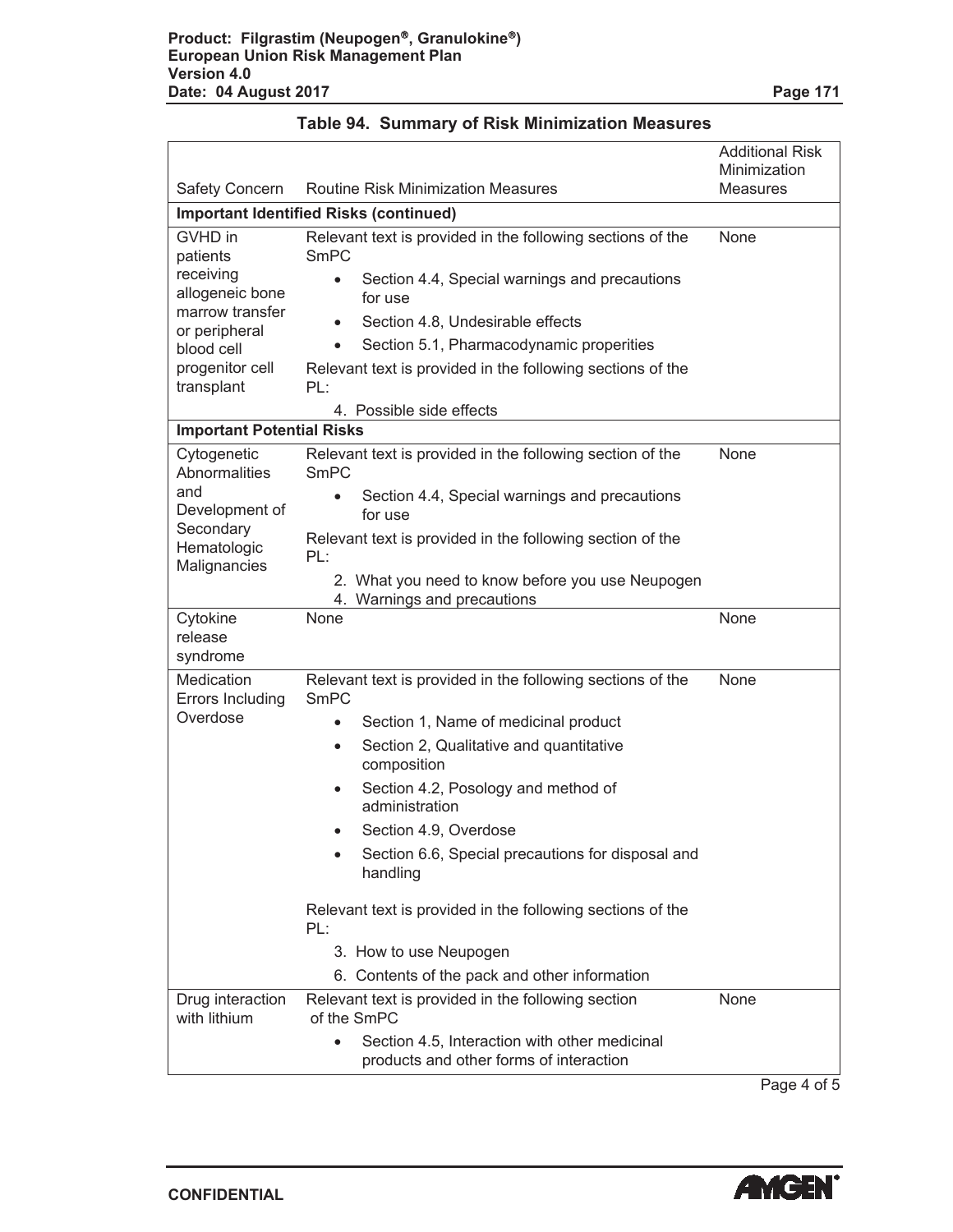|                                                                                                          |                                                                                                                                                                                                                                                                                                                                                                                                                                                                                                          | <b>Additional Risk</b><br>Minimization |
|----------------------------------------------------------------------------------------------------------|----------------------------------------------------------------------------------------------------------------------------------------------------------------------------------------------------------------------------------------------------------------------------------------------------------------------------------------------------------------------------------------------------------------------------------------------------------------------------------------------------------|----------------------------------------|
| Safety Concern                                                                                           | <b>Routine Risk Minimization Measures</b>                                                                                                                                                                                                                                                                                                                                                                                                                                                                | <b>Measures</b>                        |
|                                                                                                          | <b>Important Identified Risks (continued)</b>                                                                                                                                                                                                                                                                                                                                                                                                                                                            |                                        |
| GVHD in<br>patients<br>receiving<br>allogeneic bone<br>marrow transfer<br>or peripheral<br>blood cell    | Relevant text is provided in the following sections of the<br><b>SmPC</b><br>Section 4.4, Special warnings and precautions<br>for use<br>Section 4.8, Undesirable effects<br>Section 5.1, Pharmacodynamic properities                                                                                                                                                                                                                                                                                    | None                                   |
| progenitor cell<br>transplant                                                                            | Relevant text is provided in the following sections of the<br>PL:<br>4. Possible side effects                                                                                                                                                                                                                                                                                                                                                                                                            |                                        |
| <b>Important Potential Risks</b>                                                                         |                                                                                                                                                                                                                                                                                                                                                                                                                                                                                                          |                                        |
| Cytogenetic<br><b>Abnormalities</b><br>and<br>Development of<br>Secondary<br>Hematologic<br>Malignancies | Relevant text is provided in the following section of the<br><b>SmPC</b><br>Section 4.4, Special warnings and precautions<br>for use<br>Relevant text is provided in the following section of the<br>PL:<br>2. What you need to know before you use Neupogen<br>4. Warnings and precautions                                                                                                                                                                                                              | None                                   |
| Cytokine<br>release<br>syndrome                                                                          | None                                                                                                                                                                                                                                                                                                                                                                                                                                                                                                     | None                                   |
| Medication<br>Errors Including<br>Overdose                                                               | Relevant text is provided in the following sections of the<br><b>SmPC</b><br>Section 1, Name of medicinal product<br>$\bullet$<br>Section 2, Qualitative and quantitative<br>$\bullet$<br>composition<br>Section 4.2, Posology and method of<br>administration<br>Section 4.9, Overdose<br>Section 6.6, Special precautions for disposal and<br>handling<br>Relevant text is provided in the following sections of the<br>PL:<br>3. How to use Neupogen<br>6. Contents of the pack and other information | None                                   |
| Drug interaction<br>with lithium                                                                         | Relevant text is provided in the following section<br>of the SmPC<br>Section 4.5, Interaction with other medicinal<br>$\bullet$<br>products and other forms of interaction                                                                                                                                                                                                                                                                                                                               | None                                   |

Page 4 of 5

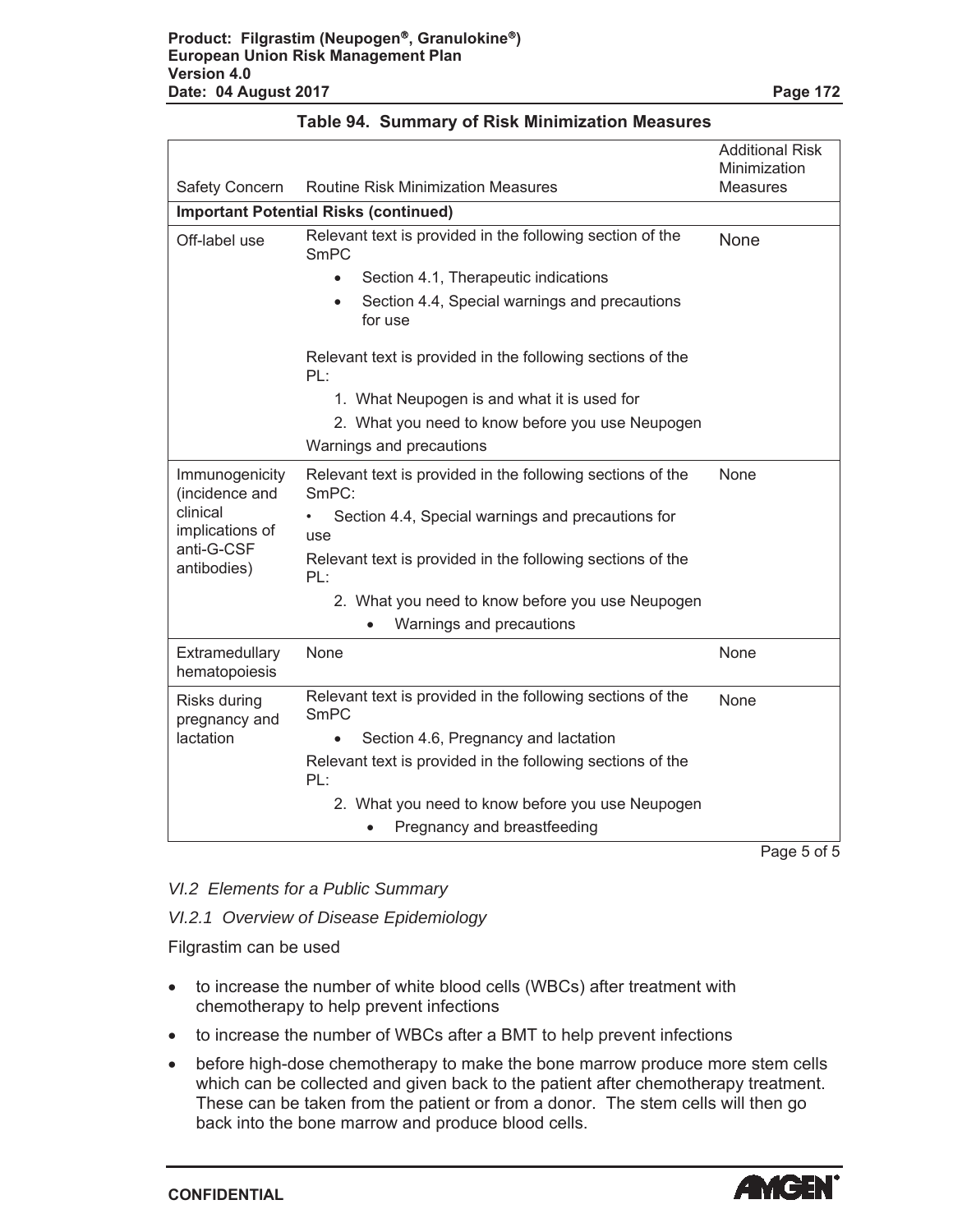|                                                          |                                                                          | <b>Additional Risk</b><br>Minimization |
|----------------------------------------------------------|--------------------------------------------------------------------------|----------------------------------------|
| <b>Safety Concern</b>                                    | <b>Routine Risk Minimization Measures</b>                                | <b>Measures</b>                        |
|                                                          | <b>Important Potential Risks (continued)</b>                             |                                        |
| Off-label use                                            | Relevant text is provided in the following section of the<br><b>SmPC</b> | None                                   |
|                                                          | Section 4.1, Therapeutic indications<br>$\bullet$                        |                                        |
|                                                          | Section 4.4, Special warnings and precautions<br>for use                 |                                        |
|                                                          | Relevant text is provided in the following sections of the<br>PL:        |                                        |
|                                                          | 1. What Neupogen is and what it is used for                              |                                        |
|                                                          | 2. What you need to know before you use Neupogen                         |                                        |
|                                                          | Warnings and precautions                                                 |                                        |
| Immunogenicity<br>(incidence and                         | Relevant text is provided in the following sections of the<br>SmPC:      | None                                   |
| clinical<br>implications of<br>anti-G-CSF<br>antibodies) | Section 4.4, Special warnings and precautions for<br>use                 |                                        |
|                                                          | Relevant text is provided in the following sections of the<br>PL:        |                                        |
|                                                          | 2. What you need to know before you use Neupogen                         |                                        |
|                                                          | Warnings and precautions                                                 |                                        |
| Extramedullary<br>hematopoiesis                          | None                                                                     | None                                   |
| Risks during<br>pregnancy and                            | Relevant text is provided in the following sections of the<br>SmPC       | None                                   |
| lactation                                                | Section 4.6, Pregnancy and lactation                                     |                                        |
|                                                          | Relevant text is provided in the following sections of the<br>PL:        |                                        |
|                                                          | 2. What you need to know before you use Neupogen                         |                                        |
|                                                          | Pregnancy and breastfeeding                                              |                                        |
|                                                          |                                                                          | Page 5 of 5                            |

*VI.2 Elements for a Public Summary*

*VI.2.1 Overview of Disease Epidemiology*

Filgrastim can be used

- to increase the number of white blood cells (WBCs) after treatment with chemotherapy to help prevent infections
- to increase the number of WBCs after a BMT to help prevent infections
- before high-dose chemotherapy to make the bone marrow produce more stem cells which can be collected and given back to the patient after chemotherapy treatment. These can be taken from the patient or from a donor. The stem cells will then go back into the bone marrow and produce blood cells.

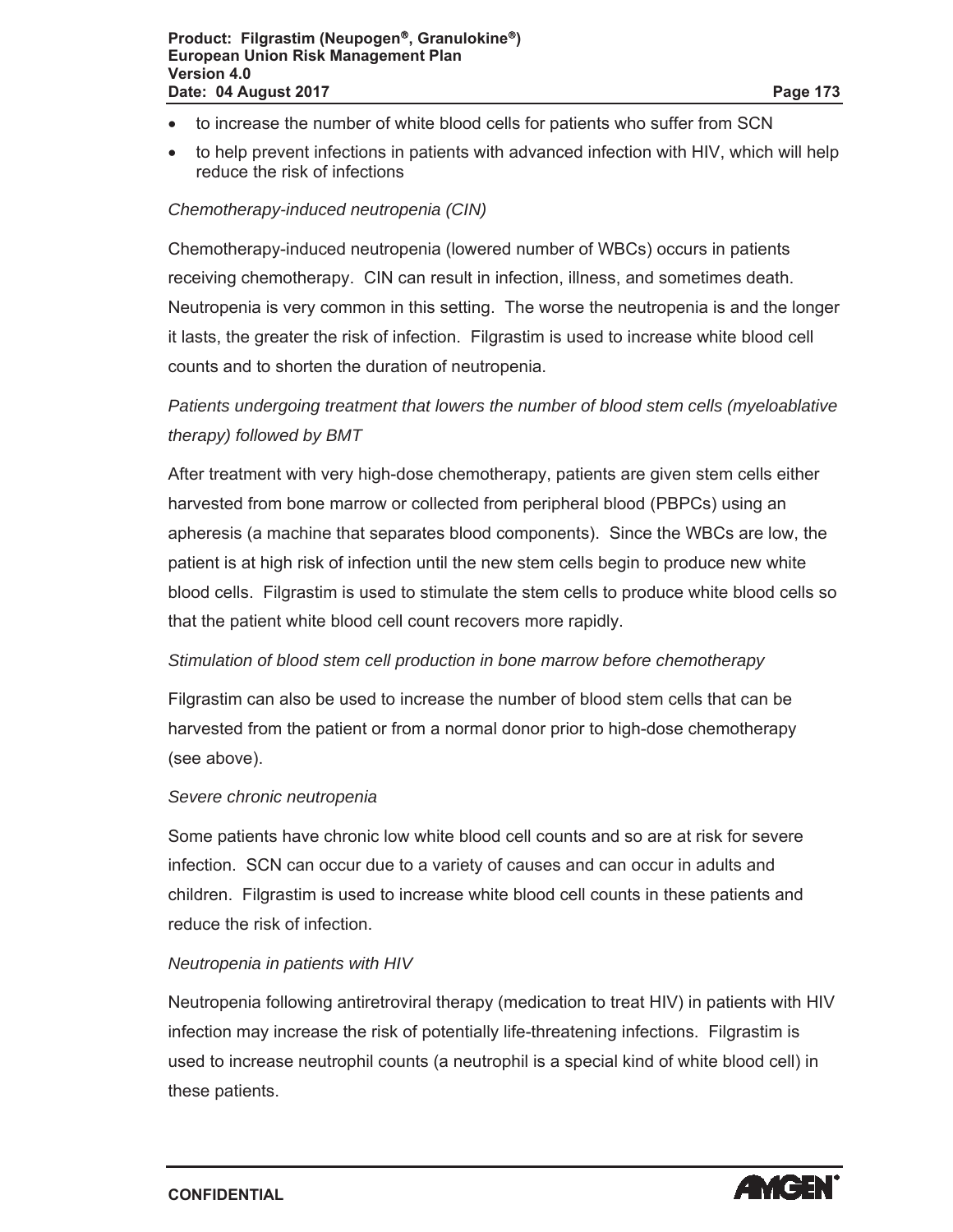- to increase the number of white blood cells for patients who suffer from SCN
- $\bullet$  to help prevent infections in patients with advanced infection with HIV, which will help reduce the risk of infections

#### *Chemotherapy-induced neutropenia (CIN)*

Chemotherapy-induced neutropenia (lowered number of WBCs) occurs in patients receiving chemotherapy. CIN can result in infection, illness, and sometimes death. Neutropenia is very common in this setting. The worse the neutropenia is and the longer it lasts, the greater the risk of infection. Filgrastim is used to increase white blood cell counts and to shorten the duration of neutropenia.

# *Patients undergoing treatment that lowers the number of blood stem cells (myeloablative therapy) followed by BMT*

After treatment with very high-dose chemotherapy, patients are given stem cells either harvested from bone marrow or collected from peripheral blood (PBPCs) using an apheresis (a machine that separates blood components). Since the WBCs are low, the patient is at high risk of infection until the new stem cells begin to produce new white blood cells. Filgrastim is used to stimulate the stem cells to produce white blood cells so that the patient white blood cell count recovers more rapidly.

#### *Stimulation of blood stem cell production in bone marrow before chemotherapy*

Filgrastim can also be used to increase the number of blood stem cells that can be harvested from the patient or from a normal donor prior to high-dose chemotherapy (see above).

#### *Severe chronic neutropenia*

Some patients have chronic low white blood cell counts and so are at risk for severe infection. SCN can occur due to a variety of causes and can occur in adults and children. Filgrastim is used to increase white blood cell counts in these patients and reduce the risk of infection.

#### *Neutropenia in patients with HIV*

Neutropenia following antiretroviral therapy (medication to treat HIV) in patients with HIV infection may increase the risk of potentially life-threatening infections. Filgrastim is used to increase neutrophil counts (a neutrophil is a special kind of white blood cell) in these patients.

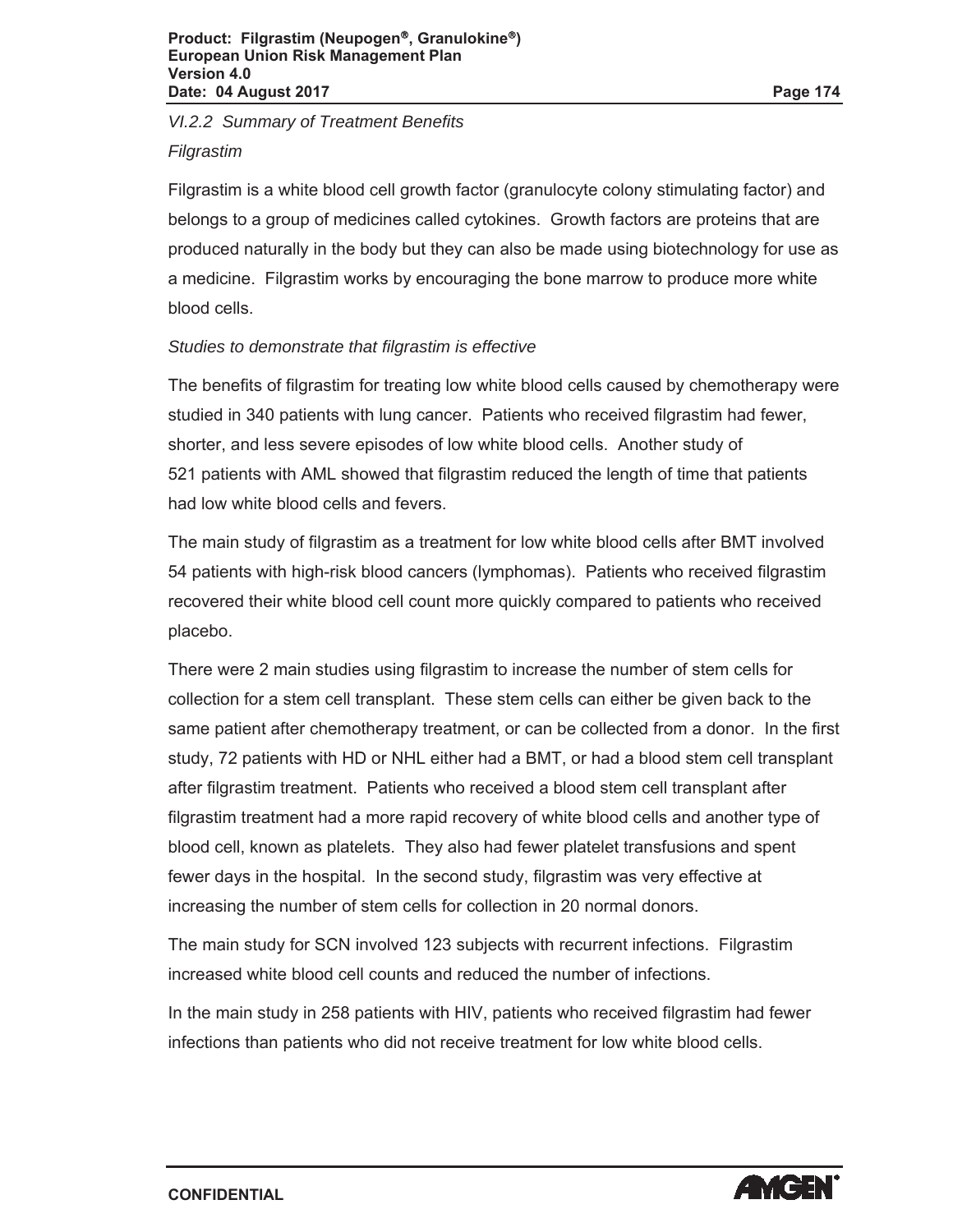*VI.2.2 Summary of Treatment Benefits*

*Filgrastim*

Filgrastim is a white blood cell growth factor (granulocyte colony stimulating factor) and belongs to a group of medicines called cytokines. Growth factors are proteins that are produced naturally in the body but they can also be made using biotechnology for use as a medicine. Filgrastim works by encouraging the bone marrow to produce more white blood cells.

### *Studies to demonstrate that filgrastim is effective*

The benefits of filgrastim for treating low white blood cells caused by chemotherapy were studied in 340 patients with lung cancer. Patients who received filgrastim had fewer, shorter, and less severe episodes of low white blood cells. Another study of 521 patients with AML showed that filgrastim reduced the length of time that patients had low white blood cells and fevers.

The main study of filgrastim as a treatment for low white blood cells after BMT involved 54 patients with high-risk blood cancers (lymphomas). Patients who received filgrastim recovered their white blood cell count more quickly compared to patients who received placebo.

There were 2 main studies using filgrastim to increase the number of stem cells for collection for a stem cell transplant. These stem cells can either be given back to the same patient after chemotherapy treatment, or can be collected from a donor. In the first study, 72 patients with HD or NHL either had a BMT, or had a blood stem cell transplant after filgrastim treatment. Patients who received a blood stem cell transplant after filgrastim treatment had a more rapid recovery of white blood cells and another type of blood cell, known as platelets. They also had fewer platelet transfusions and spent fewer days in the hospital. In the second study, filgrastim was very effective at increasing the number of stem cells for collection in 20 normal donors.

The main study for SCN involved 123 subjects with recurrent infections. Filgrastim increased white blood cell counts and reduced the number of infections.

In the main study in 258 patients with HIV, patients who received filgrastim had fewer infections than patients who did not receive treatment for low white blood cells.

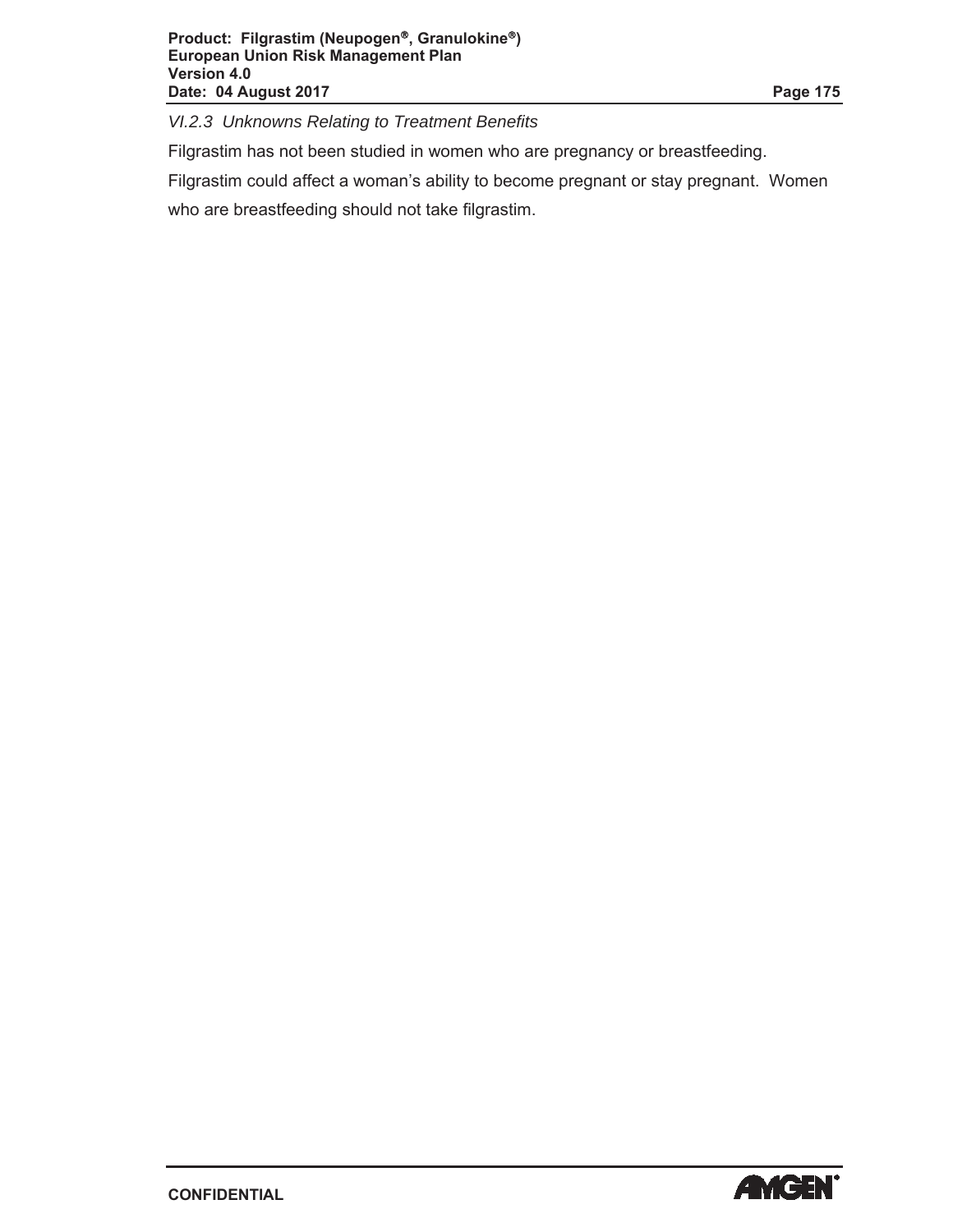*VI.2.3 Unknowns Relating to Treatment Benefits*

Filgrastim has not been studied in women who are pregnancy or breastfeeding.

Filgrastim could affect a woman's ability to become pregnant or stay pregnant. Women who are breastfeeding should not take filgrastim.

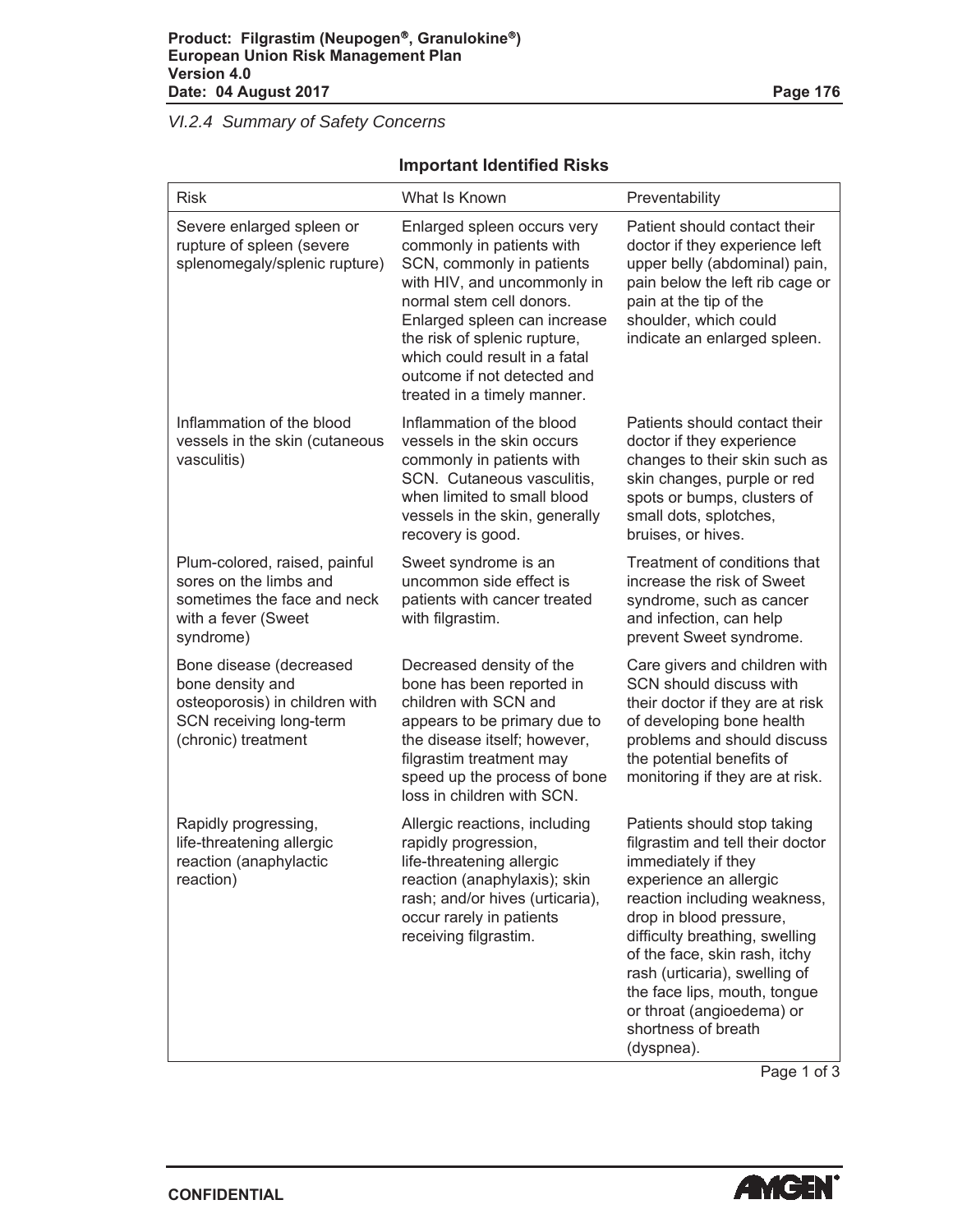*VI.2.4 Summary of Safety Concerns*

### **Important Identified Risks**

| <b>Risk</b>                                                                                                                     | What Is Known                                                                                                                                                                                                                                                                                                   | Preventability                                                                                                                                                                                                                                                                                                                                                                    |
|---------------------------------------------------------------------------------------------------------------------------------|-----------------------------------------------------------------------------------------------------------------------------------------------------------------------------------------------------------------------------------------------------------------------------------------------------------------|-----------------------------------------------------------------------------------------------------------------------------------------------------------------------------------------------------------------------------------------------------------------------------------------------------------------------------------------------------------------------------------|
| Severe enlarged spleen or<br>rupture of spleen (severe<br>splenomegaly/splenic rupture)                                         | Enlarged spleen occurs very<br>commonly in patients with<br>SCN, commonly in patients<br>with HIV, and uncommonly in<br>normal stem cell donors.<br>Enlarged spleen can increase<br>the risk of splenic rupture,<br>which could result in a fatal<br>outcome if not detected and<br>treated in a timely manner. | Patient should contact their<br>doctor if they experience left<br>upper belly (abdominal) pain,<br>pain below the left rib cage or<br>pain at the tip of the<br>shoulder, which could<br>indicate an enlarged spleen.                                                                                                                                                             |
| Inflammation of the blood<br>vessels in the skin (cutaneous<br>vasculitis)                                                      | Inflammation of the blood<br>vessels in the skin occurs<br>commonly in patients with<br>SCN. Cutaneous vasculitis,<br>when limited to small blood<br>vessels in the skin, generally<br>recovery is good.                                                                                                        | Patients should contact their<br>doctor if they experience<br>changes to their skin such as<br>skin changes, purple or red<br>spots or bumps, clusters of<br>small dots, splotches,<br>bruises, or hives.                                                                                                                                                                         |
| Plum-colored, raised, painful<br>sores on the limbs and<br>sometimes the face and neck<br>with a fever (Sweet<br>syndrome)      | Sweet syndrome is an<br>uncommon side effect is<br>patients with cancer treated<br>with filgrastim.                                                                                                                                                                                                             | Treatment of conditions that<br>increase the risk of Sweet<br>syndrome, such as cancer<br>and infection, can help<br>prevent Sweet syndrome.                                                                                                                                                                                                                                      |
| Bone disease (decreased<br>bone density and<br>osteoporosis) in children with<br>SCN receiving long-term<br>(chronic) treatment | Decreased density of the<br>bone has been reported in<br>children with SCN and<br>appears to be primary due to<br>the disease itself; however,<br>filgrastim treatment may<br>speed up the process of bone<br>loss in children with SCN.                                                                        | Care givers and children with<br>SCN should discuss with<br>their doctor if they are at risk<br>of developing bone health<br>problems and should discuss<br>the potential benefits of<br>monitoring if they are at risk.                                                                                                                                                          |
| Rapidly progressing,<br>life-threatening allergic<br>reaction (anaphylactic<br>reaction)                                        | Allergic reactions, including<br>rapidly progression,<br>life-threatening allergic<br>reaction (anaphylaxis); skin<br>rash; and/or hives (urticaria),<br>occur rarely in patients<br>receiving filgrastim.                                                                                                      | Patients should stop taking<br>filgrastim and tell their doctor<br>immediately if they<br>experience an allergic<br>reaction including weakness,<br>drop in blood pressure,<br>difficulty breathing, swelling<br>of the face, skin rash, itchy<br>rash (urticaria), swelling of<br>the face lips, mouth, tongue<br>or throat (angioedema) or<br>shortness of breath<br>(dyspnea). |

Page 1 of 3

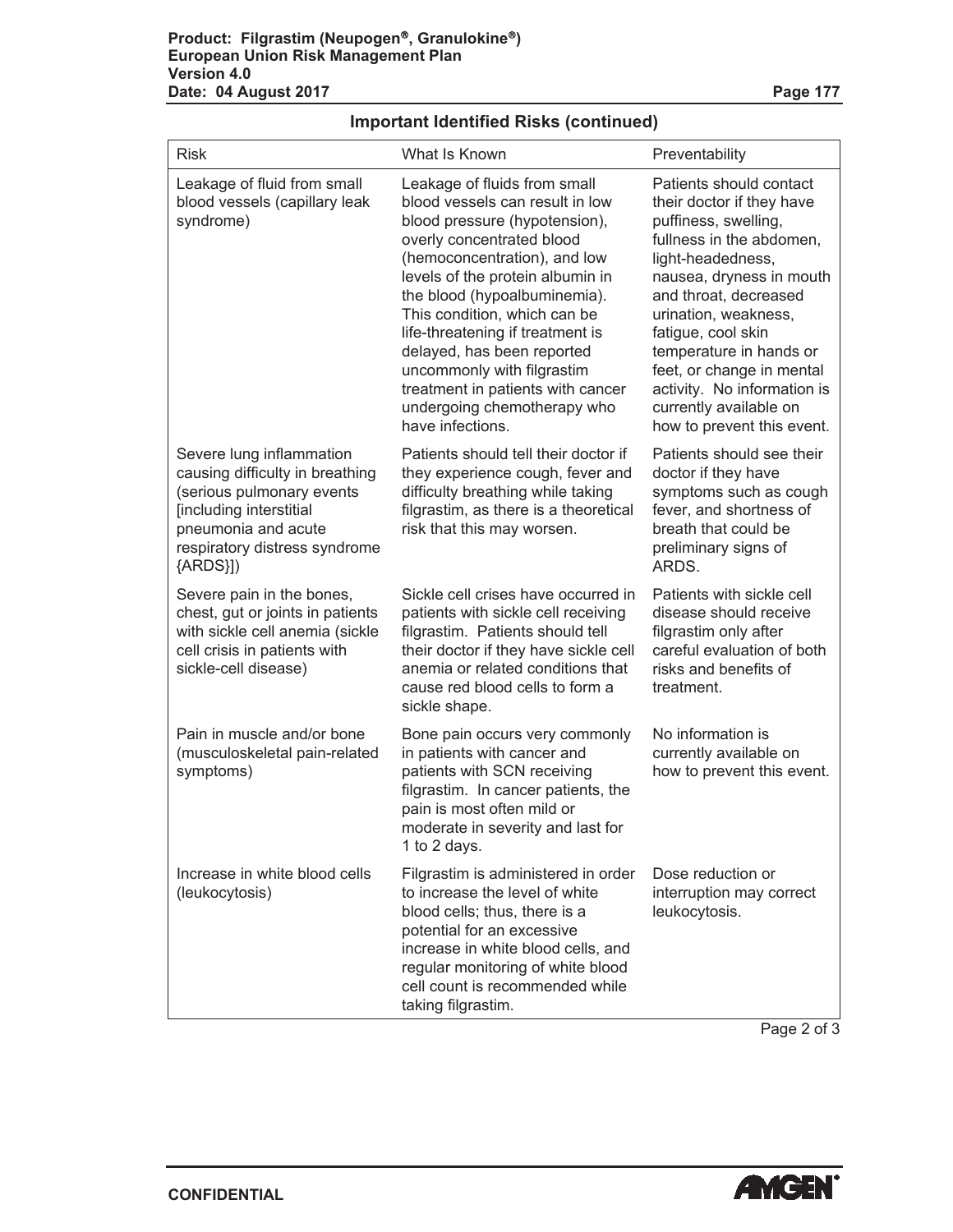| <b>Risk</b>                                                                                                                                                                                | What Is Known                                                                                                                                                                                                                                                                                                                                                                                                                                             | Preventability                                                                                                                                                                                                                                                                                                                                                                  |  |
|--------------------------------------------------------------------------------------------------------------------------------------------------------------------------------------------|-----------------------------------------------------------------------------------------------------------------------------------------------------------------------------------------------------------------------------------------------------------------------------------------------------------------------------------------------------------------------------------------------------------------------------------------------------------|---------------------------------------------------------------------------------------------------------------------------------------------------------------------------------------------------------------------------------------------------------------------------------------------------------------------------------------------------------------------------------|--|
| Leakage of fluid from small<br>blood vessels (capillary leak<br>syndrome)                                                                                                                  | Leakage of fluids from small<br>blood vessels can result in low<br>blood pressure (hypotension),<br>overly concentrated blood<br>(hemoconcentration), and low<br>levels of the protein albumin in<br>the blood (hypoalbuminemia).<br>This condition, which can be<br>life-threatening if treatment is<br>delayed, has been reported<br>uncommonly with filgrastim<br>treatment in patients with cancer<br>undergoing chemotherapy who<br>have infections. | Patients should contact<br>their doctor if they have<br>puffiness, swelling,<br>fullness in the abdomen,<br>light-headedness,<br>nausea, dryness in mouth<br>and throat, decreased<br>urination, weakness,<br>fatigue, cool skin<br>temperature in hands or<br>feet, or change in mental<br>activity. No information is<br>currently available on<br>how to prevent this event. |  |
| Severe lung inflammation<br>causing difficulty in breathing<br>(serious pulmonary events<br>[including interstitial<br>pneumonia and acute<br>respiratory distress syndrome<br>${ARDS}}$ ) | Patients should tell their doctor if<br>they experience cough, fever and<br>difficulty breathing while taking<br>filgrastim, as there is a theoretical<br>risk that this may worsen.                                                                                                                                                                                                                                                                      | Patients should see their<br>doctor if they have<br>symptoms such as cough<br>fever, and shortness of<br>breath that could be<br>preliminary signs of<br>ARDS.                                                                                                                                                                                                                  |  |
| Severe pain in the bones,<br>chest, gut or joints in patients<br>with sickle cell anemia (sickle<br>cell crisis in patients with<br>sickle-cell disease)                                   | Sickle cell crises have occurred in<br>patients with sickle cell receiving<br>filgrastim. Patients should tell<br>their doctor if they have sickle cell<br>anemia or related conditions that<br>cause red blood cells to form a<br>sickle shape.                                                                                                                                                                                                          | Patients with sickle cell<br>disease should receive<br>filgrastim only after<br>careful evaluation of both<br>risks and benefits of<br>treatment.                                                                                                                                                                                                                               |  |
| Pain in muscle and/or bone<br>(musculoskeletal pain-related<br>symptoms)                                                                                                                   | Bone pain occurs very commonly<br>in patients with cancer and<br>patients with SCN receiving<br>filgrastim. In cancer patients, the<br>pain is most often mild or<br>moderate in severity and last for<br>1 to 2 days.                                                                                                                                                                                                                                    | No information is<br>currently available on<br>how to prevent this event.                                                                                                                                                                                                                                                                                                       |  |
| Increase in white blood cells<br>(leukocytosis)                                                                                                                                            | Filgrastim is administered in order<br>to increase the level of white<br>blood cells; thus, there is a<br>potential for an excessive<br>increase in white blood cells, and<br>regular monitoring of white blood<br>cell count is recommended while<br>taking filgrastim.                                                                                                                                                                                  | Dose reduction or<br>interruption may correct<br>leukocytosis.                                                                                                                                                                                                                                                                                                                  |  |

### **Important Identified Risks (continued)**

Page 2 of 3

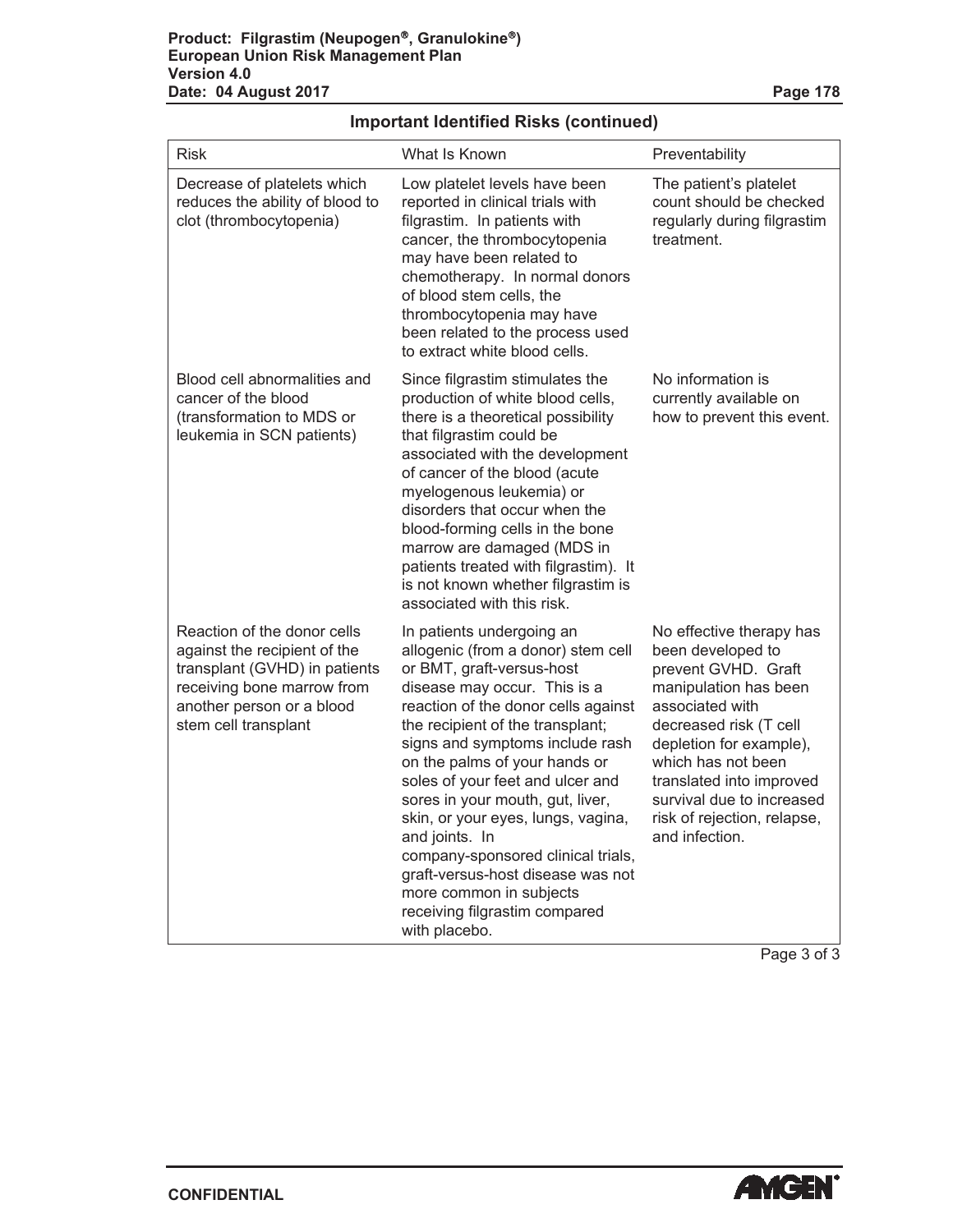| <b>Risk</b>                                                                                                                                                                     | What Is Known                                                                                                                                                                                                                                                                                                                                                                                                                                                                                                                                                       | Preventability                                                                                                                                                                                                                                                                                        |
|---------------------------------------------------------------------------------------------------------------------------------------------------------------------------------|---------------------------------------------------------------------------------------------------------------------------------------------------------------------------------------------------------------------------------------------------------------------------------------------------------------------------------------------------------------------------------------------------------------------------------------------------------------------------------------------------------------------------------------------------------------------|-------------------------------------------------------------------------------------------------------------------------------------------------------------------------------------------------------------------------------------------------------------------------------------------------------|
| Decrease of platelets which<br>reduces the ability of blood to<br>clot (thrombocytopenia)                                                                                       | Low platelet levels have been<br>reported in clinical trials with<br>filgrastim. In patients with<br>cancer, the thrombocytopenia<br>may have been related to<br>chemotherapy. In normal donors<br>of blood stem cells, the<br>thrombocytopenia may have<br>been related to the process used<br>to extract white blood cells.                                                                                                                                                                                                                                       | The patient's platelet<br>count should be checked<br>regularly during filgrastim<br>treatment.                                                                                                                                                                                                        |
| Blood cell abnormalities and<br>cancer of the blood<br>(transformation to MDS or<br>leukemia in SCN patients)                                                                   | Since filgrastim stimulates the<br>production of white blood cells,<br>there is a theoretical possibility<br>that filgrastim could be<br>associated with the development<br>of cancer of the blood (acute<br>myelogenous leukemia) or<br>disorders that occur when the<br>blood-forming cells in the bone<br>marrow are damaged (MDS in<br>patients treated with filgrastim). It<br>is not known whether filgrastim is<br>associated with this risk.                                                                                                                | No information is<br>currently available on<br>how to prevent this event.                                                                                                                                                                                                                             |
| Reaction of the donor cells<br>against the recipient of the<br>transplant (GVHD) in patients<br>receiving bone marrow from<br>another person or a blood<br>stem cell transplant | In patients undergoing an<br>allogenic (from a donor) stem cell<br>or BMT, graft-versus-host<br>disease may occur. This is a<br>reaction of the donor cells against<br>the recipient of the transplant;<br>signs and symptoms include rash<br>on the palms of your hands or<br>soles of your feet and ulcer and<br>sores in your mouth, gut, liver,<br>skin, or your eyes, lungs, vagina,<br>and joints. In<br>company-sponsored clinical trials,<br>graft-versus-host disease was not<br>more common in subjects<br>receiving filgrastim compared<br>with placebo. | No effective therapy has<br>been developed to<br>prevent GVHD. Graft<br>manipulation has been<br>associated with<br>decreased risk (T cell<br>depletion for example),<br>which has not been<br>translated into improved<br>survival due to increased<br>risk of rejection, relapse,<br>and infection. |

### **Important Identified Risks (continued)**

Page 3 of 3



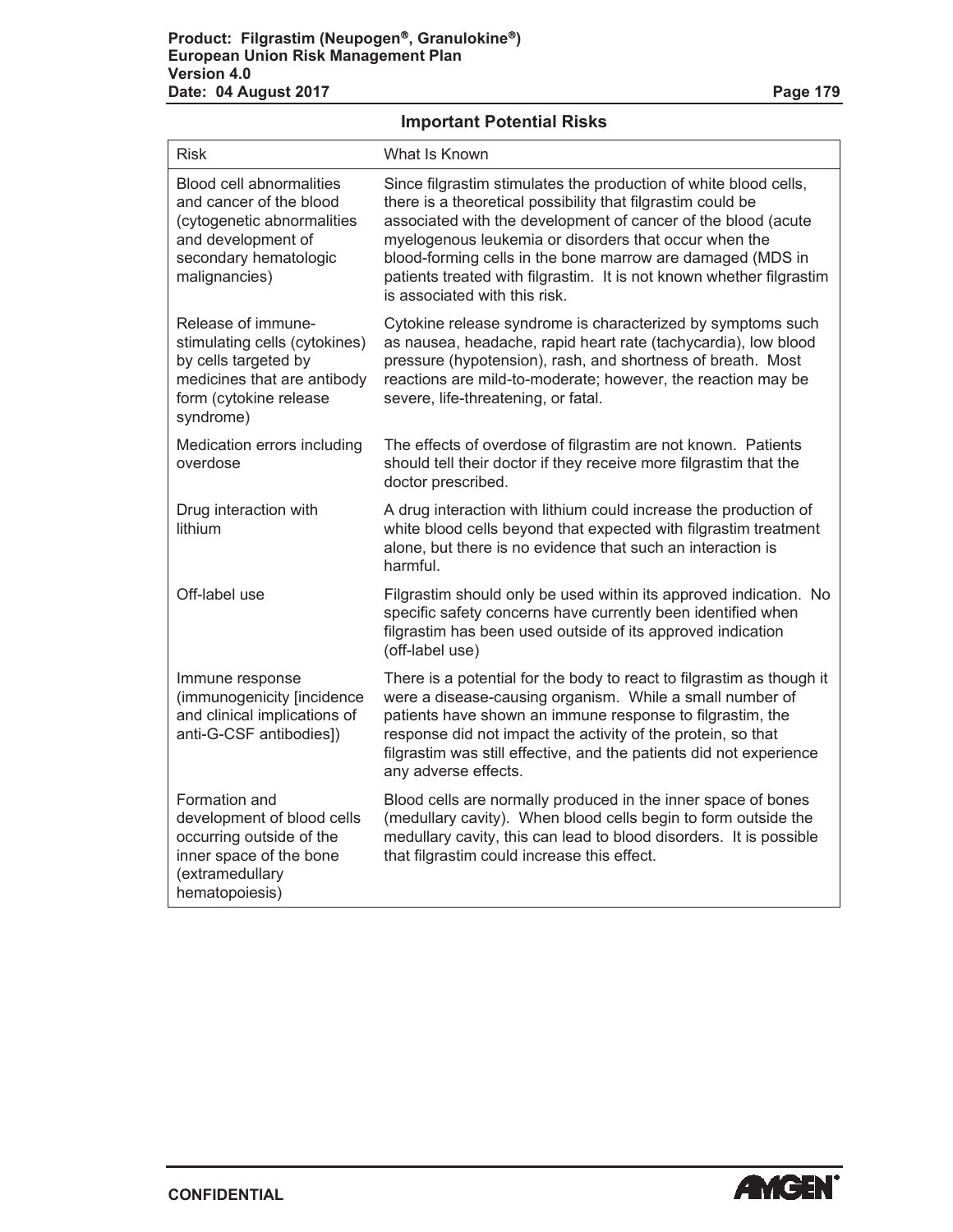**Important Potential Risks**

| <b>Risk</b>                                                                                                                                              | What Is Known                                                                                                                                                                                                                                                                                                                                                                                                                    |
|----------------------------------------------------------------------------------------------------------------------------------------------------------|----------------------------------------------------------------------------------------------------------------------------------------------------------------------------------------------------------------------------------------------------------------------------------------------------------------------------------------------------------------------------------------------------------------------------------|
| <b>Blood cell abnormalities</b><br>and cancer of the blood<br>(cytogenetic abnormalities<br>and development of<br>secondary hematologic<br>malignancies) | Since filgrastim stimulates the production of white blood cells,<br>there is a theoretical possibility that filgrastim could be<br>associated with the development of cancer of the blood (acute<br>myelogenous leukemia or disorders that occur when the<br>blood-forming cells in the bone marrow are damaged (MDS in<br>patients treated with filgrastim. It is not known whether filgrastim<br>is associated with this risk. |
| Release of immune-<br>stimulating cells (cytokines)<br>by cells targeted by<br>medicines that are antibody<br>form (cytokine release<br>syndrome)        | Cytokine release syndrome is characterized by symptoms such<br>as nausea, headache, rapid heart rate (tachycardia), low blood<br>pressure (hypotension), rash, and shortness of breath. Most<br>reactions are mild-to-moderate; however, the reaction may be<br>severe, life-threatening, or fatal.                                                                                                                              |
| Medication errors including<br>overdose                                                                                                                  | The effects of overdose of filgrastim are not known. Patients<br>should tell their doctor if they receive more filgrastim that the<br>doctor prescribed.                                                                                                                                                                                                                                                                         |
| Drug interaction with<br>lithium                                                                                                                         | A drug interaction with lithium could increase the production of<br>white blood cells beyond that expected with filgrastim treatment<br>alone, but there is no evidence that such an interaction is<br>harmful.                                                                                                                                                                                                                  |
| Off-label use                                                                                                                                            | Filgrastim should only be used within its approved indication. No<br>specific safety concerns have currently been identified when<br>filgrastim has been used outside of its approved indication<br>(off-label use)                                                                                                                                                                                                              |
| Immune response<br>(immunogenicity [incidence<br>and clinical implications of<br>anti-G-CSF antibodies])                                                 | There is a potential for the body to react to filgrastim as though it<br>were a disease-causing organism. While a small number of<br>patients have shown an immune response to filgrastim, the<br>response did not impact the activity of the protein, so that<br>filgrastim was still effective, and the patients did not experience<br>any adverse effects.                                                                    |
| Formation and<br>development of blood cells<br>occurring outside of the<br>inner space of the bone<br>(extramedullary<br>hematopoiesis)                  | Blood cells are normally produced in the inner space of bones<br>(medullary cavity). When blood cells begin to form outside the<br>medullary cavity, this can lead to blood disorders. It is possible<br>that filgrastim could increase this effect.                                                                                                                                                                             |

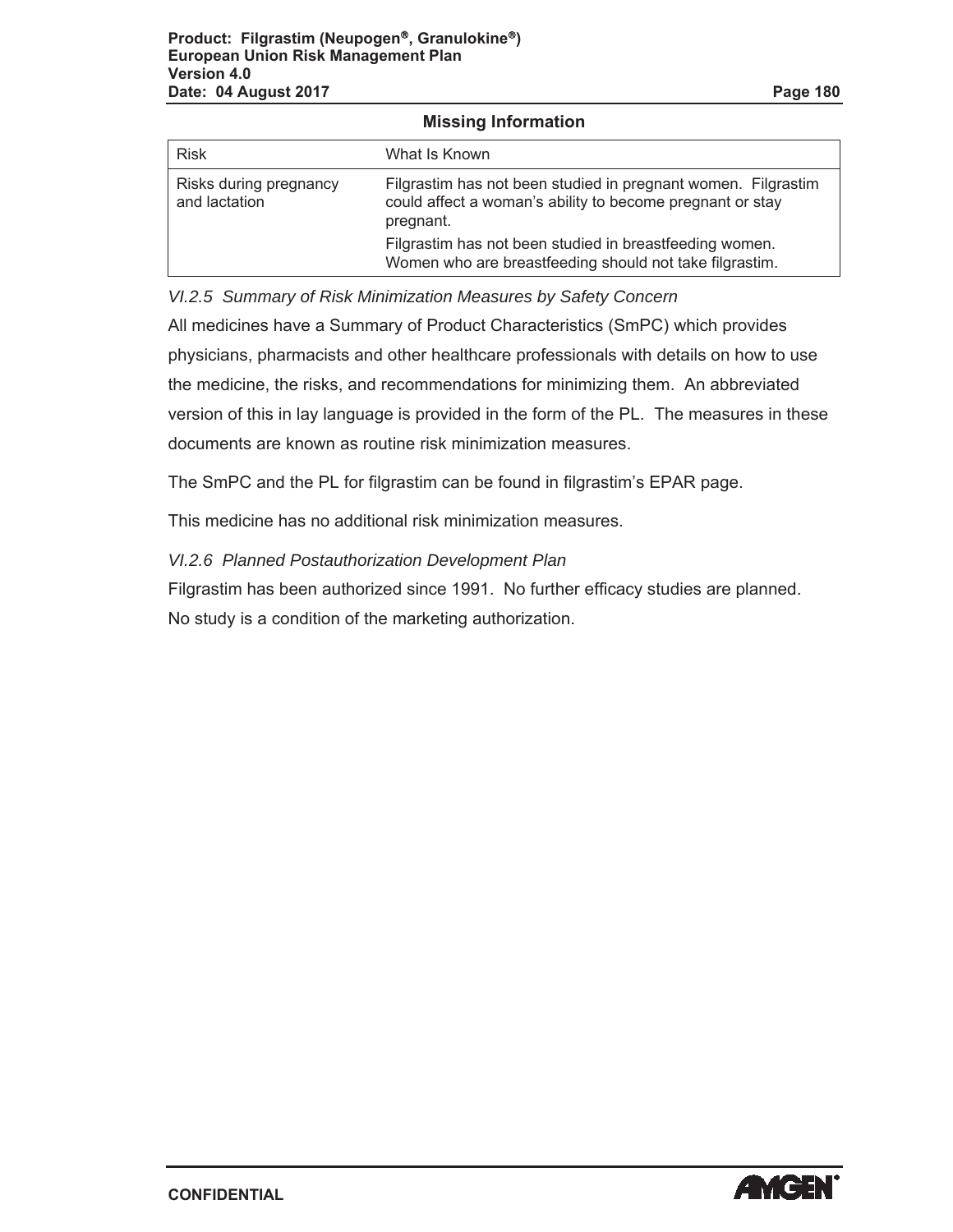| <b>Risk</b>                             | What Is Known                                                                                                                           |  |  |  |
|-----------------------------------------|-----------------------------------------------------------------------------------------------------------------------------------------|--|--|--|
| Risks during pregnancy<br>and lactation | Filgrastim has not been studied in pregnant women. Filgrastim<br>could affect a woman's ability to become pregnant or stay<br>pregnant. |  |  |  |
|                                         | Filgrastim has not been studied in breastfeeding women.<br>Women who are breastfeeding should not take filgrastim.                      |  |  |  |

**Missing Information**

*VI.2.5 Summary of Risk Minimization Measures by Safety Concern*

All medicines have a Summary of Product Characteristics (SmPC) which provides physicians, pharmacists and other healthcare professionals with details on how to use the medicine, the risks, and recommendations for minimizing them. An abbreviated version of this in lay language is provided in the form of the PL. The measures in these documents are known as routine risk minimization measures.

The SmPC and the PL for filgrastim can be found in filgrastim's EPAR page.

This medicine has no additional risk minimization measures.

*VI.2.6 Planned Postauthorization Development Plan*

Filgrastim has been authorized since 1991. No further efficacy studies are planned. No study is a condition of the marketing authorization.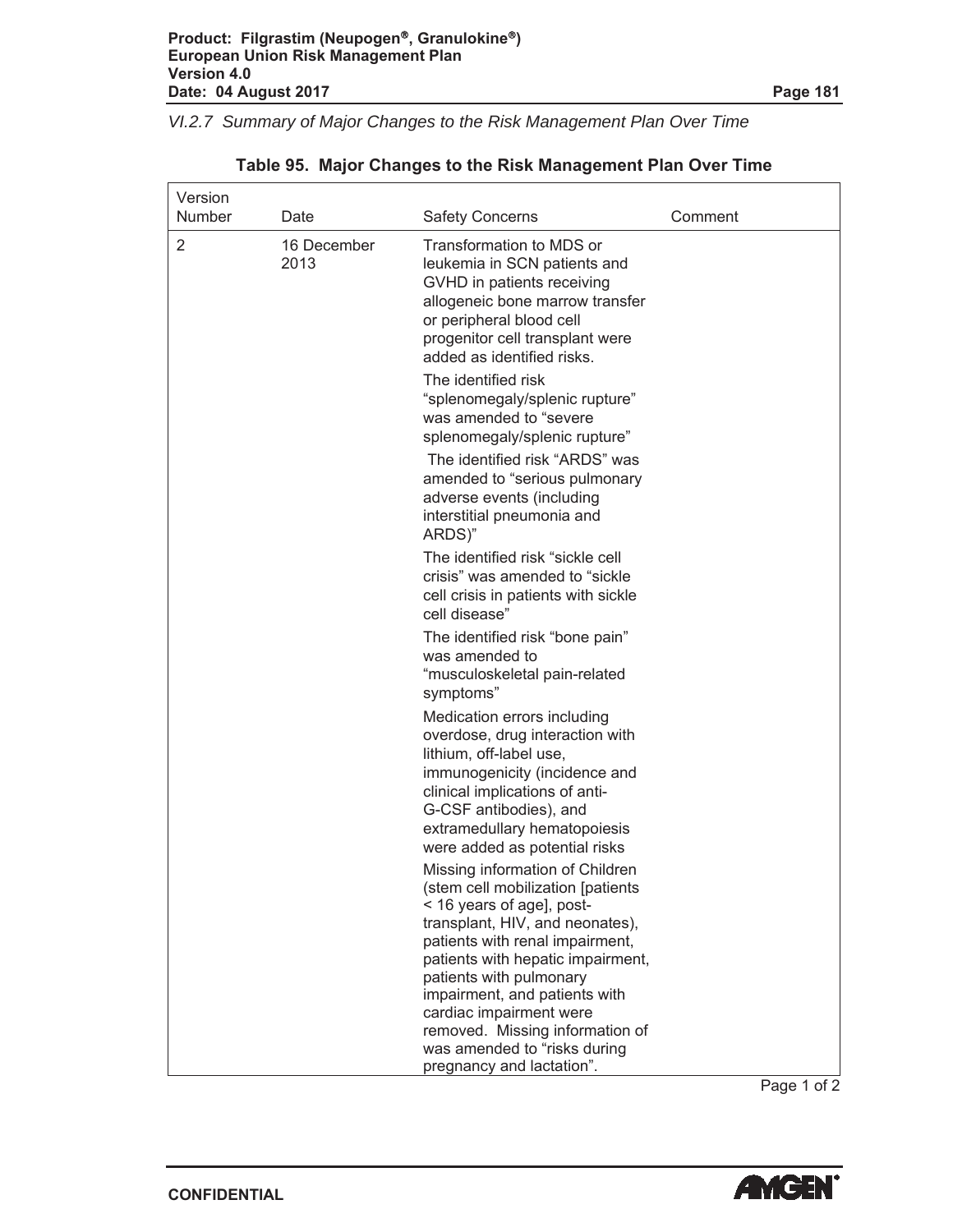$\Gamma$ 

٦

*VI.2.7 Summary of Major Changes to the Risk Management Plan Over Time*

| Version<br>Number | Date        | <b>Safety Concerns</b>                                                                                                                                                                                                                                                   | Comment |
|-------------------|-------------|--------------------------------------------------------------------------------------------------------------------------------------------------------------------------------------------------------------------------------------------------------------------------|---------|
| 2<br>2013         | 16 December | Transformation to MDS or<br>leukemia in SCN patients and<br>GVHD in patients receiving<br>allogeneic bone marrow transfer<br>or peripheral blood cell<br>progenitor cell transplant were<br>added as identified risks.                                                   |         |
|                   |             | The identified risk<br>"splenomegaly/splenic rupture"<br>was amended to "severe<br>splenomegaly/splenic rupture"<br>The identified risk "ARDS" was<br>amended to "serious pulmonary<br>adverse events (including<br>interstitial pneumonia and<br>ARDS)"                 |         |
|                   |             | The identified risk "sickle cell<br>crisis" was amended to "sickle"<br>cell crisis in patients with sickle<br>cell disease"                                                                                                                                              |         |
|                   |             | The identified risk "bone pain"<br>was amended to<br>"musculoskeletal pain-related<br>symptoms"                                                                                                                                                                          |         |
|                   |             | Medication errors including<br>overdose, drug interaction with<br>lithium, off-label use,<br>immunogenicity (incidence and<br>clinical implications of anti-<br>G-CSF antibodies), and<br>extramedullary hematopoiesis<br>were added as potential risks                  |         |
|                   |             | Missing information of Children<br>(stem cell mobilization [patients<br>< 16 years of age], post-<br>transplant, HIV, and neonates),<br>patients with renal impairment,<br>patients with hepatic impairment,<br>patients with pulmonary<br>impairment, and patients with |         |
|                   |             | cardiac impairment were<br>removed. Missing information of<br>was amended to "risks during<br>pregnancy and lactation".                                                                                                                                                  |         |

### **Table 95. Major Changes to the Risk Management Plan Over Time**

Page 1 of 2